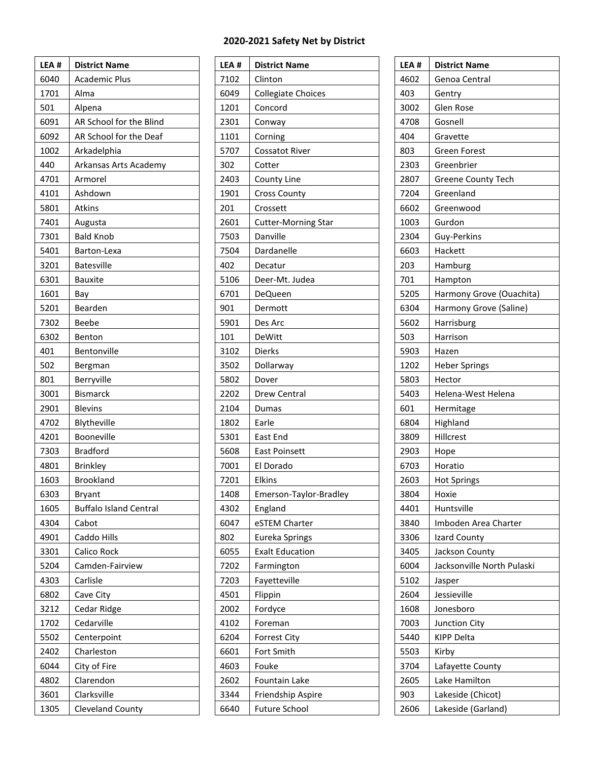## **2020-2021 Safety Net by District**

| LEA # | <b>District Name</b>          |
|-------|-------------------------------|
| 6040  | <b>Academic Plus</b>          |
| 1701  | Alma                          |
| 501   | Alpena                        |
| 6091  | AR School for the Blind       |
| 6092  | AR School for the Deaf        |
| 1002  | Arkadelphia                   |
| 440   | Arkansas Arts Academy         |
| 4701  | Armorel                       |
| 4101  | Ashdown                       |
| 5801  | <b>Atkins</b>                 |
| 7401  | Augusta                       |
| 7301  | <b>Bald Knob</b>              |
| 5401  | Barton-Lexa                   |
| 3201  | <b>Batesville</b>             |
| 6301  | Bauxite                       |
| 1601  | Bay                           |
| 5201  | Bearden                       |
| 7302  | Beebe                         |
| 6302  | Benton                        |
| 401   | Bentonville                   |
| 502   | Bergman                       |
| 801   | Berryville                    |
| 3001  | <b>Bismarck</b>               |
| 2901  | <b>Blevins</b>                |
| 4702  | Blytheville                   |
| 4201  | Booneville                    |
| 7303  | Bradford                      |
| 4801  | <b>Brinkley</b>               |
| 1603  | <b>Brookland</b>              |
| 6303  | <b>Bryant</b>                 |
| 1605  | <b>Buffalo Island Central</b> |
| 4304  | Cabot                         |
| 4901  | Caddo Hills                   |
| 3301  | Calico Rock                   |
| 5204  | Camden-Fairview               |
| 4303  | Carlisle                      |
| 6802  | Cave City                     |
| 3212  | Cedar Ridge                   |
| 1702  | Cedarville                    |
| 5502  | Centerpoint                   |
| 2402  | Charleston                    |
| 6044  | City of Fire                  |
| 4802  | Clarendon                     |
| 3601  | Clarksville                   |
| 1305  | Cleveland County              |

| LEA# | <b>District Name</b>       |
|------|----------------------------|
| 7102 | Clinton                    |
| 6049 | <b>Collegiate Choices</b>  |
| 1201 | Concord                    |
| 2301 | Conway                     |
| 1101 | Corning                    |
| 5707 | <b>Cossatot River</b>      |
| 302  | Cotter                     |
| 2403 | County Line                |
| 1901 | <b>Cross County</b>        |
| 201  | Crossett                   |
| 2601 | <b>Cutter-Morning Star</b> |
| 7503 | Danville                   |
| 7504 | Dardanelle                 |
| 402  | Decatur                    |
| 5106 | Deer-Mt. Judea             |
| 6701 | DeQueen                    |
| 901  | Dermott                    |
| 5901 | Des Arc                    |
| 101  | DeWitt                     |
| 3102 | <b>Dierks</b>              |
| 3502 | Dollarway                  |
| 5802 | Dover                      |
| 2202 | Drew Central               |
| 2104 | Dumas                      |
| 1802 | Earle                      |
| 5301 | East End                   |
| 5608 | <b>East Poinsett</b>       |
| 7001 | El Dorado                  |
| 7201 | <b>Elkins</b>              |
| 1408 | Emerson-Taylor-Bradley     |
| 4302 | England                    |
| 6047 | eSTEM Charter              |
| 802  | Eureka Springs             |
| 6055 | <b>Exalt Education</b>     |
| 7202 | Farmington                 |
| 7203 | Fayetteville               |
| 4501 | Flippin                    |
| 2002 | Fordyce                    |
| 4102 | Foreman                    |
| 6204 | <b>Forrest City</b>        |
| 6601 | Fort Smith                 |
| 4603 | Fouke                      |
| 2602 | Fountain Lake              |
| 3344 | Friendship Aspire          |
| 6640 | <b>Future School</b>       |

| LEA# | <b>District Name</b>       |
|------|----------------------------|
| 4602 | Genoa Central              |
| 403  | Gentry                     |
| 3002 | Glen Rose                  |
| 4708 | Gosnell                    |
| 404  | Gravette                   |
| 803  | <b>Green Forest</b>        |
| 2303 | Greenbrier                 |
| 2807 | <b>Greene County Tech</b>  |
| 7204 | Greenland                  |
| 6602 | Greenwood                  |
| 1003 | Gurdon                     |
| 2304 | Guy-Perkins                |
| 6603 | Hackett                    |
| 203  | Hamburg                    |
| 701  | Hampton                    |
| 5205 | Harmony Grove (Ouachita)   |
| 6304 | Harmony Grove (Saline)     |
| 5602 | Harrisburg                 |
| 503  | Harrison                   |
| 5903 | Hazen                      |
| 1202 | <b>Heber Springs</b>       |
| 5803 | Hector                     |
| 5403 | Helena-West Helena         |
| 601  | Hermitage                  |
| 6804 | Highland                   |
| 3809 | Hillcrest                  |
| 2903 | Hope                       |
| 6703 | Horatio                    |
| 2603 | <b>Hot Springs</b>         |
| 3804 | Hoxie                      |
| 4401 | Huntsville                 |
| 3840 | Imboden Area Charter       |
| 3306 | Izard County               |
| 3405 | Jackson County             |
| 6004 | Jacksonville North Pulaski |
| 5102 | Jasper                     |
| 2604 | Jessieville                |
| 1608 | Jonesboro                  |
| 7003 | <b>Junction City</b>       |
| 5440 | <b>KIPP Delta</b>          |
|      |                            |
| 5503 | Kirby                      |
| 3704 | Lafayette County           |
| 2605 | Lake Hamilton              |
| 903  | Lakeside (Chicot)          |
| 2606 | Lakeside (Garland)         |